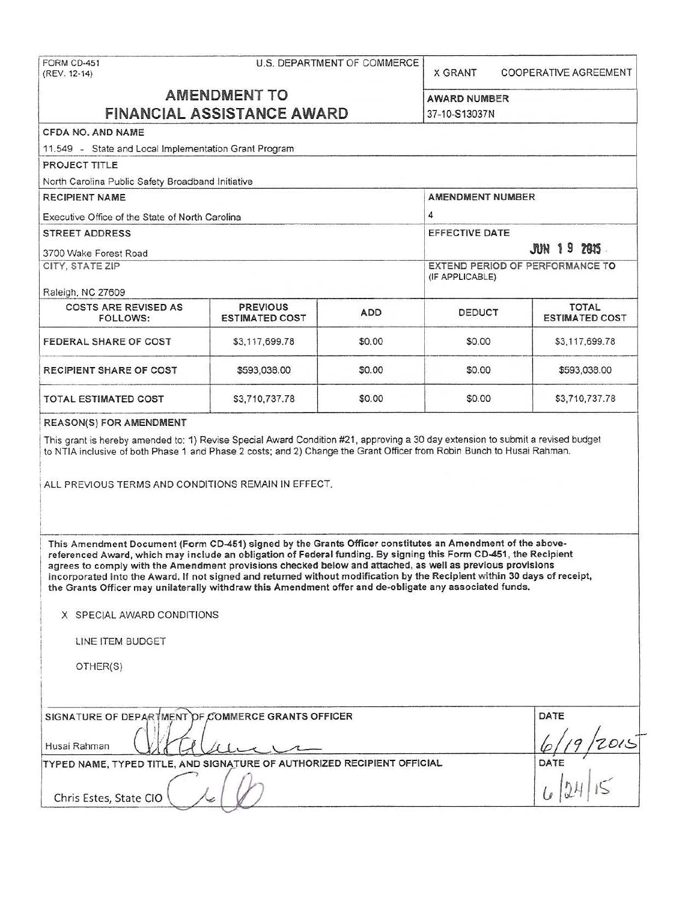| FORM CD-451<br>(REV. 12-14)                                                                                                                                                                                                                                                                                                                                                                                                                                                                                                                                                                                     | U.S. DEPARTMENT OF COMMERCE                        | <b>X GRANT</b>          | <b>COOPERATIVE AGREEMENT</b>         |                        |  |
|-----------------------------------------------------------------------------------------------------------------------------------------------------------------------------------------------------------------------------------------------------------------------------------------------------------------------------------------------------------------------------------------------------------------------------------------------------------------------------------------------------------------------------------------------------------------------------------------------------------------|----------------------------------------------------|-------------------------|--------------------------------------|------------------------|--|
| <b>AMENDMENT TO</b><br><b>FINANCIAL ASSISTANCE AWARD</b>                                                                                                                                                                                                                                                                                                                                                                                                                                                                                                                                                        |                                                    |                         | <b>AWARD NUMBER</b><br>37-10-S13037N |                        |  |
| CFDA NO, AND NAME                                                                                                                                                                                                                                                                                                                                                                                                                                                                                                                                                                                               |                                                    |                         |                                      |                        |  |
| 11.549 - State and Local Implementation Grant Program                                                                                                                                                                                                                                                                                                                                                                                                                                                                                                                                                           |                                                    |                         |                                      |                        |  |
| PROJECT TITLE                                                                                                                                                                                                                                                                                                                                                                                                                                                                                                                                                                                                   |                                                    |                         |                                      |                        |  |
| North Carolina Public Safety Broadband Initiative                                                                                                                                                                                                                                                                                                                                                                                                                                                                                                                                                               |                                                    |                         |                                      |                        |  |
| <b>RECIPIENT NAME</b>                                                                                                                                                                                                                                                                                                                                                                                                                                                                                                                                                                                           |                                                    | <b>AMENDMENT NUMBER</b> |                                      |                        |  |
| Executive Office of the State of North Carolina                                                                                                                                                                                                                                                                                                                                                                                                                                                                                                                                                                 | 4                                                  |                         |                                      |                        |  |
| <b>STREET ADDRESS</b>                                                                                                                                                                                                                                                                                                                                                                                                                                                                                                                                                                                           |                                                    |                         | <b>EFFECTIVE DATE</b>                |                        |  |
| 3700 Wake Forest Road                                                                                                                                                                                                                                                                                                                                                                                                                                                                                                                                                                                           |                                                    |                         | <b>JUN 19 2015</b>                   |                        |  |
| CITY, STATE ZIP                                                                                                                                                                                                                                                                                                                                                                                                                                                                                                                                                                                                 | EXTEND PERIOD OF PERFORMANCE TO<br>(IF APPLICABLE) |                         |                                      |                        |  |
| Raleigh, NC 27609<br><b>COSTS ARE REVISED AS</b>                                                                                                                                                                                                                                                                                                                                                                                                                                                                                                                                                                | <b>PREVIOUS</b>                                    |                         |                                      | TOTAL                  |  |
| <b>FOLLOWS:</b>                                                                                                                                                                                                                                                                                                                                                                                                                                                                                                                                                                                                 | <b>ESTIMATED COST</b>                              | <b>ADD</b>              | <b>DEDUCT</b>                        | <b>ESTIMATED COST</b>  |  |
| FEDERAL SHARE OF COST                                                                                                                                                                                                                                                                                                                                                                                                                                                                                                                                                                                           | \$3,117,699.78                                     | \$0.00                  | \$0.00                               | \$3,117,699.78         |  |
| RECIPIENT SHARE OF COST                                                                                                                                                                                                                                                                                                                                                                                                                                                                                                                                                                                         | \$593,038.00                                       | \$0.00                  | \$0.00                               | \$593,038.00           |  |
| TOTAL ESTIMATED COST                                                                                                                                                                                                                                                                                                                                                                                                                                                                                                                                                                                            | \$3,710,737.78                                     | \$0.00                  | \$0.00                               | \$3,710,737.78         |  |
| ALL PREVIOUS TERMS AND CONDITIONS REMAIN IN EFFECT.                                                                                                                                                                                                                                                                                                                                                                                                                                                                                                                                                             |                                                    |                         |                                      |                        |  |
| This Amendment Document (Form CD-451) signed by the Grants Officer constitutes an Amendment of the above-<br>referenced Award, which may include an obligation of Federal funding. By signing this Form CD-451, the Recipient<br>agrees to comply with the Amendment provisions checked below and attached, as well as previous provisions<br>incorporated into the Award. If not signed and returned without modification by the Recipient within 30 days of receipt,<br>the Grants Officer may unilaterally withdraw this Amendment offer and de-obligate any associated funds.<br>X SPECIAL AWARD CONDITIONS |                                                    |                         |                                      |                        |  |
|                                                                                                                                                                                                                                                                                                                                                                                                                                                                                                                                                                                                                 |                                                    |                         |                                      |                        |  |
| LINE ITEM BUDGET                                                                                                                                                                                                                                                                                                                                                                                                                                                                                                                                                                                                |                                                    |                         |                                      |                        |  |
| OTHER(S)                                                                                                                                                                                                                                                                                                                                                                                                                                                                                                                                                                                                        |                                                    |                         |                                      |                        |  |
| SIGNATURE OF DEPARTMENT OF COMMERCE GRANTS OFFICER<br>Husai Rahman<br>TYPED NAME, TYPED TITLE, AND SIGNATURE OF AUTHORIZED RECIPIENT OFFICIAL                                                                                                                                                                                                                                                                                                                                                                                                                                                                   |                                                    |                         |                                      | DATE<br>9/2015<br>DATE |  |
| Chris Estes, State CIO                                                                                                                                                                                                                                                                                                                                                                                                                                                                                                                                                                                          |                                                    |                         |                                      |                        |  |